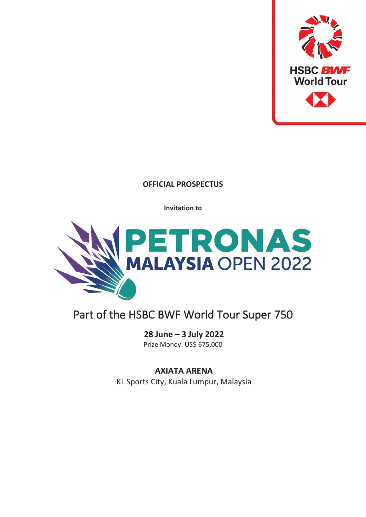

### **OFFICIAL PROSPECTUS**

**Invitation to**



### Part of the HSBC BWF World Tour Super 750

**28 June – 3 July 2022**  Prize Money: US\$ 675,000

**AXIATA ARENA** KL Sports City, Kuala Lumpur, Malaysia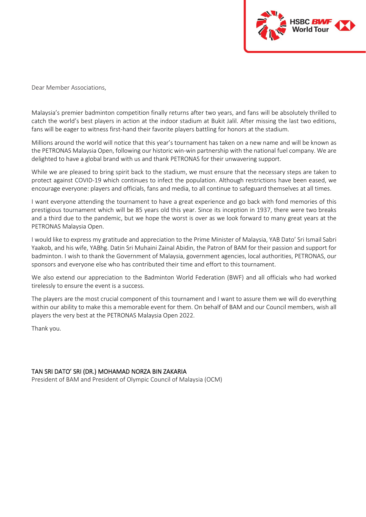

Dear Member Associations,

Malaysia's premier badminton competition finally returns after two years, and fans will be absolutely thrilled to catch the world's best players in action at the indoor stadium at Bukit Jalil. After missing the last two editions, fans will be eager to witness first-hand their favorite players battling for honors at the stadium.

Millions around the world will notice that this year's tournament has taken on a new name and will be known as the PETRONAS Malaysia Open, following our historic win-win partnership with the national fuel company. We are delighted to have a global brand with us and thank PETRONAS for their unwavering support.

While we are pleased to bring spirit back to the stadium, we must ensure that the necessary steps are taken to protect against COVID-19 which continues to infect the population. Although restrictions have been eased, we encourage everyone: players and officials, fans and media, to all continue to safeguard themselves at all times.

I want everyone attending the tournament to have a great experience and go back with fond memories of this prestigious tournament which will be 85 years old this year. Since its inception in 1937, there were two breaks and a third due to the pandemic, but we hope the worst is over as we look forward to many great years at the PETRONAS Malaysia Open.

I would like to express my gratitude and appreciation to the Prime Minister of Malaysia, YAB Dato' Sri Ismail Sabri Yaakob, and his wife, YABhg. Datin Sri Muhaini Zainal Abidin, the Patron of BAM for their passion and support for badminton. I wish to thank the Government of Malaysia, government agencies, local authorities, PETRONAS, our sponsors and everyone else who has contributed their time and effort to this tournament.

We also extend our appreciation to the Badminton World Federation (BWF) and all officials who had worked tirelessly to ensure the event is a success.

The players are the most crucial component of this tournament and I want to assure them we will do everything within our ability to make this a memorable event for them. On behalf of BAM and our Council members, wish all players the very best at the PETRONAS Malaysia Open 2022.

Thank you.

### TAN SRI DATO' SRI (DR.) MOHAMAD NORZA BIN ZAKARIA

President of BAM and President of Olympic Council of Malaysia (OCM)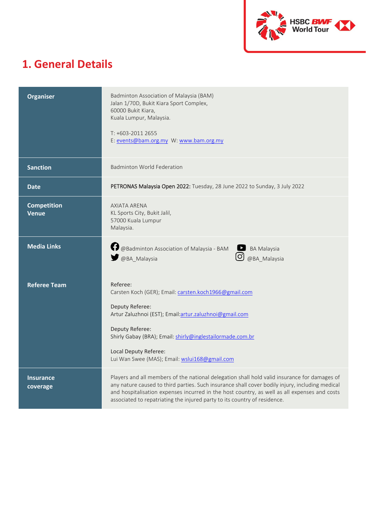

## **1. General Details**

| <b>Organiser</b>                   | Badminton Association of Malaysia (BAM)<br>Jalan 1/70D, Bukit Kiara Sport Complex,<br>60000 Bukit Kiara,<br>Kuala Lumpur, Malaysia.<br>T: +603-2011 2655<br>E: events@bam.org.my W: www.bam.org.my                                                                                                                                                                           |
|------------------------------------|------------------------------------------------------------------------------------------------------------------------------------------------------------------------------------------------------------------------------------------------------------------------------------------------------------------------------------------------------------------------------|
| <b>Sanction</b>                    | <b>Badminton World Federation</b>                                                                                                                                                                                                                                                                                                                                            |
| <b>Date</b>                        | PETRONAS Malaysia Open 2022: Tuesday, 28 June 2022 to Sunday, 3 July 2022                                                                                                                                                                                                                                                                                                    |
| <b>Competition</b><br><b>Venue</b> | <b>AXIATA ARENA</b><br>KL Sports City, Bukit Jalil,<br>57000 Kuala Lumpur<br>Malaysia.                                                                                                                                                                                                                                                                                       |
| <b>Media Links</b>                 | <b>D</b> @Badminton Association of Malaysia - BAM<br>$\bullet$<br><b>BA Malaysia</b><br>(ဝ)<br>@BA_Malaysia<br>@BA Malaysia                                                                                                                                                                                                                                                  |
| <b>Referee Team</b>                | Referee:<br>Carsten Koch (GER); Email: carsten.koch1966@gmail.com<br>Deputy Referee:<br>Artur Zaluzhnoi (EST); Email:artur.zaluzhnoi@gmail.com<br>Deputy Referee:<br>Shirly Gabay (BRA); Email: shirly@inglestailormade.com.br<br>Local Deputy Referee:<br>Lui Wan Swee (MAS); Email: wslui168@gmail.com                                                                     |
| <b>Insurance</b><br>coverage       | Players and all members of the national delegation shall hold valid insurance for damages of<br>any nature caused to third parties. Such insurance shall cover bodily injury, including medical<br>and hospitalisation expenses incurred in the host country, as well as all expenses and costs<br>associated to repatriating the injured party to its country of residence. |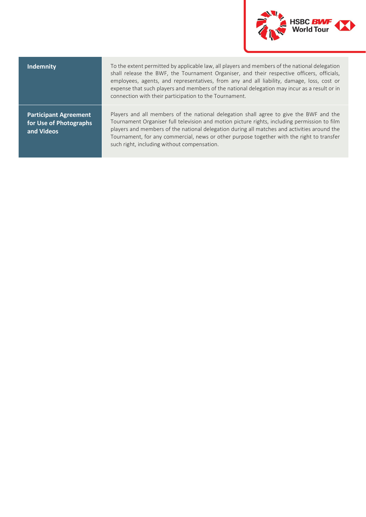**Indemnity** To the extent permitted by applicable law, all players and members of the national delegation shall release the BWF, the Tournament Organiser, and their respective officers, officials, employees, agents, and representatives, from any and all liability, damage, loss, cost or expense that such players and members of the national delegation may incur as a result or in connection with their participation to the Tournament.

HSBC *B* **World Tour** 

**Participant Agreement for Use of Photographs and Videos**

Players and all members of the national delegation shall agree to give the BWF and the Tournament Organiser full television and motion picture rights, including permission to film players and members of the national delegation during all matches and activities around the Tournament, for any commercial, news or other purpose together with the right to transfer such right, including without compensation.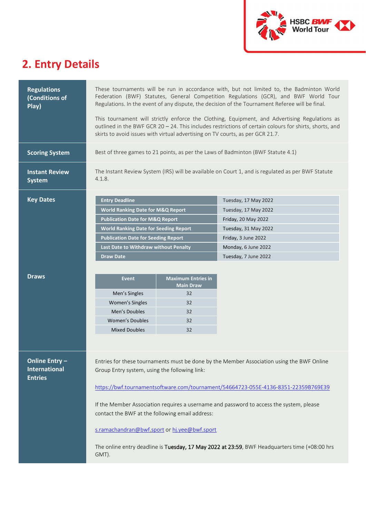

# **2. Entry Details**

| <b>Regulations</b><br>(Conditions of<br>Play)           | These tournaments will be run in accordance with, but not limited to, the Badminton World<br>Federation (BWF) Statutes, General Competition Regulations (GCR), and BWF World Tour<br>Regulations. In the event of any dispute, the decision of the Tournament Referee will be final.         |                                               |                                                                                           |  |
|---------------------------------------------------------|----------------------------------------------------------------------------------------------------------------------------------------------------------------------------------------------------------------------------------------------------------------------------------------------|-----------------------------------------------|-------------------------------------------------------------------------------------------|--|
|                                                         | This tournament will strictly enforce the Clothing, Equipment, and Advertising Regulations as<br>outlined in the BWF GCR $20 - 24$ . This includes restrictions of certain colours for shirts, shorts, and<br>skirts to avoid issues with virtual advertising on TV courts, as per GCR 21.7. |                                               |                                                                                           |  |
| <b>Scoring System</b>                                   | Best of three games to 21 points, as per the Laws of Badminton (BWF Statute 4.1)                                                                                                                                                                                                             |                                               |                                                                                           |  |
| <b>Instant Review</b><br><b>System</b>                  | The Instant Review System (IRS) will be available on Court 1, and is regulated as per BWF Statute<br>4.1.8.                                                                                                                                                                                  |                                               |                                                                                           |  |
| <b>Key Dates</b>                                        | <b>Entry Deadline</b>                                                                                                                                                                                                                                                                        |                                               | Tuesday, 17 May 2022                                                                      |  |
|                                                         | <b>World Ranking Date for M&amp;Q Report</b>                                                                                                                                                                                                                                                 |                                               | Tuesday, 17 May 2022                                                                      |  |
|                                                         | <b>Publication Date for M&amp;Q Report</b>                                                                                                                                                                                                                                                   |                                               | Friday, 20 May 2022                                                                       |  |
|                                                         | <b>World Ranking Date for Seeding Report</b>                                                                                                                                                                                                                                                 |                                               | Tuesday, 31 May 2022                                                                      |  |
|                                                         | <b>Publication Date for Seeding Report</b>                                                                                                                                                                                                                                                   |                                               | Friday, 3 June 2022                                                                       |  |
|                                                         | Last Date to Withdraw without Penalty                                                                                                                                                                                                                                                        |                                               | Monday, 6 June 2022                                                                       |  |
|                                                         | <b>Draw Date</b>                                                                                                                                                                                                                                                                             | Tuesday, 7 June 2022                          |                                                                                           |  |
|                                                         |                                                                                                                                                                                                                                                                                              |                                               |                                                                                           |  |
|                                                         |                                                                                                                                                                                                                                                                                              |                                               |                                                                                           |  |
| <b>Draws</b>                                            | <b>Event</b>                                                                                                                                                                                                                                                                                 | <b>Maximum Entries in</b><br><b>Main Draw</b> |                                                                                           |  |
|                                                         | Men's Singles                                                                                                                                                                                                                                                                                | 32                                            |                                                                                           |  |
|                                                         | Women's Singles                                                                                                                                                                                                                                                                              | 32                                            |                                                                                           |  |
|                                                         | Men's Doubles                                                                                                                                                                                                                                                                                | 32                                            |                                                                                           |  |
|                                                         | Women's Doubles                                                                                                                                                                                                                                                                              | 32                                            |                                                                                           |  |
|                                                         | <b>Mixed Doubles</b>                                                                                                                                                                                                                                                                         | 32                                            |                                                                                           |  |
|                                                         |                                                                                                                                                                                                                                                                                              |                                               |                                                                                           |  |
| Online Entry-<br><b>International</b><br><b>Entries</b> | Group Entry system, using the following link:                                                                                                                                                                                                                                                |                                               | Entries for these tournaments must be done by the Member Association using the BWF Online |  |
|                                                         |                                                                                                                                                                                                                                                                                              |                                               | https://bwf.tournamentsoftware.com/tournament/54664723-055E-4136-8351-22359B769E39        |  |
|                                                         | contact the BWF at the following email address:                                                                                                                                                                                                                                              |                                               | If the Member Association requires a username and password to access the system, please   |  |
|                                                         | s.ramachandran@bwf.sport or hj.yee@bwf.sport                                                                                                                                                                                                                                                 |                                               |                                                                                           |  |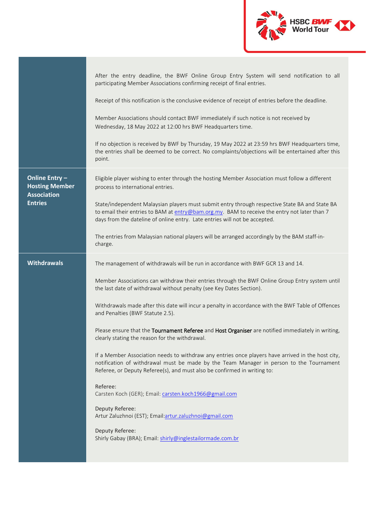After the entry deadline, the BWF Online Group Entry System will send notification to all participating Member Associations confirming receipt of final entries. Receipt of this notification is the conclusive evidence of receipt of entries before the deadline. Member Associations should contact BWF immediately if such notice is not received by Wednesday, 18 May 2022 at 12:00 hrs BWF Headquarters time. If no objection is received by BWF by Thursday, 19 May 2022 at 23:59 hrs BWF Headquarters time, the entries shall be deemed to be correct. No complaints/objections will be entertained after this point. **Online Entry – Hosting Member Association Entries** Eligible player wishing to enter through the hosting Member Association must follow a different process to international entries. State/independent Malaysian players must submit entry through respective State BA and State BA to email their entries to BAM at [entry@bam.org.my.](mailto:entry@bam.org.my) BAM to receive the entry not later than 7 days from the dateline of online entry. Late entries will not be accepted. The entries from Malaysian national players will be arranged accordingly by the BAM staff-incharge. **Withdrawals** The management of withdrawals will be run in accordance with BWF GCR 13 and 14. Member Associations can withdraw their entries through the BWF Online Group Entry system until the last date of withdrawal without penalty (see Key Dates Section). Withdrawals made after this date will incur a penalty in accordance with the BWF Table of Offences and Penalties (BWF Statute 2.5). Please ensure that the Tournament Referee and Host Organiser are notified immediately in writing, clearly stating the reason for the withdrawal. If a Member Association needs to withdraw any entries once players have arrived in the host city, notification of withdrawal must be made by the Team Manager in person to the Tournament Referee, or Deputy Referee(s), and must also be confirmed in writing to: Referee: Carsten Koch (GER); Email: [carsten.koch1966@gmail.com](mailto:carsten.koch1966@gmail.com) Deputy Referee: Artur Zaluzhnoi (EST); Email[:artur.zaluzhnoi@gmail.com](mailto:artur.zaluzhnoi@gmail.com) Deputy Referee: Shirly Gabay (BRA); Email[: shirly@inglestailormade.com.br](mailto:shirly@inglestailormade.com.br)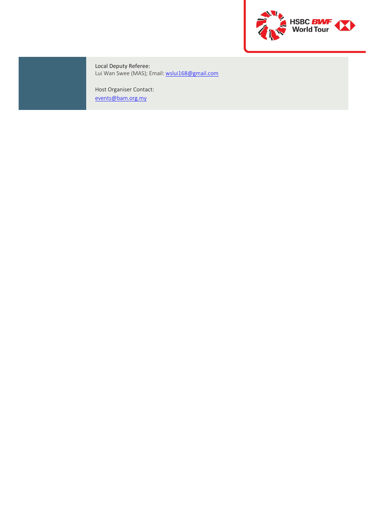

Local Deputy Referee: Lui Wan Swee (MAS); Email[: wslui168@gmail.com](mailto:wslui168@gmail.com)

Host Organiser Contact: [events@bam.org.my](mailto:events@bam.org.my)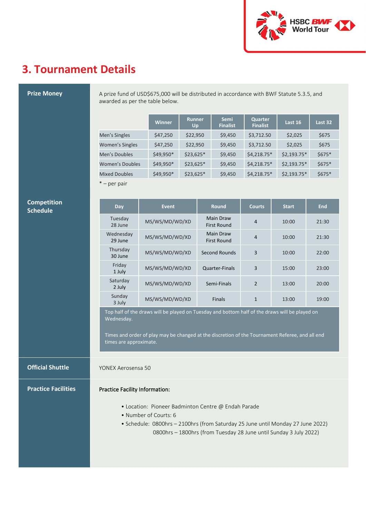

### **3. Tournament Details**

| <b>Prize Money</b>                    | A prize fund of USD\$675,000 will be distributed in accordance with BWF Statute 5.3.5, and<br>awarded as per the table below.                                                                                                        |  |                |                     |  |                                        |                            |                                                                                                |            |
|---------------------------------------|--------------------------------------------------------------------------------------------------------------------------------------------------------------------------------------------------------------------------------------|--|----------------|---------------------|--|----------------------------------------|----------------------------|------------------------------------------------------------------------------------------------|------------|
|                                       |                                                                                                                                                                                                                                      |  | <b>Winner</b>  | <b>Runner</b><br>Up |  | <b>Semi</b><br><b>Finalist</b>         | Quarter<br><b>Finalist</b> | Last 16                                                                                        | Last 32    |
|                                       | Men's Singles                                                                                                                                                                                                                        |  | \$47,250       | \$22,950            |  | \$9,450                                | \$3,712.50                 | \$2,025                                                                                        | \$675      |
|                                       | <b>Women's Singles</b>                                                                                                                                                                                                               |  | \$47,250       | \$22,950            |  | \$9,450                                | \$3,712.50                 | \$2,025                                                                                        | \$675      |
|                                       | Men's Doubles                                                                                                                                                                                                                        |  | \$49,950*      | \$23,625*           |  | \$9,450                                | \$4,218.75*                | $$2,193.75*$                                                                                   | $$675*$    |
|                                       | <b>Women's Doubles</b>                                                                                                                                                                                                               |  | \$49,950*      | \$23,625*           |  | \$9,450                                | \$4,218.75*                | $$2,193.75*$                                                                                   | $$675*$    |
|                                       | <b>Mixed Doubles</b>                                                                                                                                                                                                                 |  | \$49,950*      | \$23,625*           |  | \$9,450                                | \$4,218.75*                | $$2,193.75*$                                                                                   | $$675*$    |
|                                       | $*$ – per pair                                                                                                                                                                                                                       |  |                |                     |  |                                        |                            |                                                                                                |            |
| <b>Competition</b><br><b>Schedule</b> | <b>Day</b>                                                                                                                                                                                                                           |  | <b>Event</b>   |                     |  | <b>Round</b>                           | <b>Courts</b>              | <b>Start</b>                                                                                   | <b>End</b> |
|                                       | Tuesday<br>28 June                                                                                                                                                                                                                   |  | MS/WS/MD/WD/XD |                     |  | Main Draw<br><b>First Round</b>        | 4                          | 10:00                                                                                          | 21:30      |
|                                       | Wednesday<br>29 June                                                                                                                                                                                                                 |  | MS/WS/MD/WD/XD |                     |  | <b>Main Draw</b><br><b>First Round</b> | 4                          | 10:00                                                                                          | 21:30      |
|                                       | Thursday<br>30 June                                                                                                                                                                                                                  |  | MS/WS/MD/WD/XD |                     |  | Second Rounds                          | 3                          | 10:00                                                                                          | 22:00      |
|                                       | Friday<br>1 July                                                                                                                                                                                                                     |  | MS/WS/MD/WD/XD |                     |  | Quarter-Finals                         | 3                          | 15:00                                                                                          | 23:00      |
|                                       | Saturday<br>2 July                                                                                                                                                                                                                   |  | MS/WS/MD/WD/XD |                     |  | Semi-Finals                            | $\overline{2}$             | 13:00                                                                                          | 20:00      |
|                                       | Sunday<br>3 July                                                                                                                                                                                                                     |  | MS/WS/MD/WD/XD |                     |  | <b>Finals</b>                          | $\mathbf{1}$               | 13:00                                                                                          | 19:00      |
|                                       | Wednesday.                                                                                                                                                                                                                           |  |                |                     |  |                                        |                            | Top half of the draws will be played on Tuesday and bottom half of the draws will be played on |            |
|                                       | Times and order of play may be changed at the discretion of the Tournament Referee, and all end<br>times are approximate.                                                                                                            |  |                |                     |  |                                        |                            |                                                                                                |            |
| <b>Official Shuttle</b>               | YONEX Aerosensa 50                                                                                                                                                                                                                   |  |                |                     |  |                                        |                            |                                                                                                |            |
| <b>Practice Facilities</b>            | <b>Practice Facility Information:</b>                                                                                                                                                                                                |  |                |                     |  |                                        |                            |                                                                                                |            |
|                                       | • Location: Pioneer Badminton Centre @ Endah Parade<br>• Number of Courts: 6<br>• Schedule: 0800hrs - 2100hrs (from Saturday 25 June until Monday 27 June 2022)<br>0800hrs - 1800hrs (from Tuesday 28 June until Sunday 3 July 2022) |  |                |                     |  |                                        |                            |                                                                                                |            |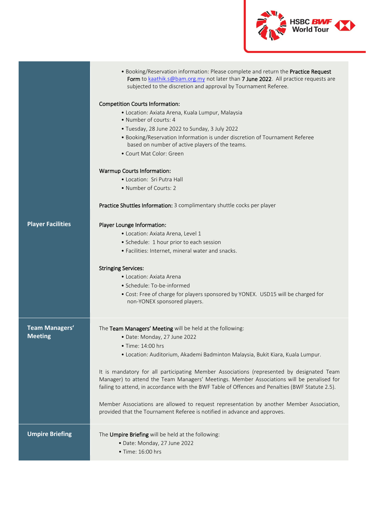|                                         | HSBC <b>BWF</b><br>World Tour                                                                                                                                                                                                                                                                                                                                                          |
|-----------------------------------------|----------------------------------------------------------------------------------------------------------------------------------------------------------------------------------------------------------------------------------------------------------------------------------------------------------------------------------------------------------------------------------------|
|                                         | . Booking/Reservation information: Please complete and return the Practice Request<br>Form to kaathik.s@bam.org.my not later than 7 June 2022. All practice requests are<br>subjected to the discretion and approval by Tournament Referee.                                                                                                                                            |
|                                         | <b>Competition Courts Information:</b><br>• Location: Axiata Arena, Kuala Lumpur, Malaysia<br>• Number of courts: 4<br>• Tuesday, 28 June 2022 to Sunday, 3 July 2022<br>• Booking/Reservation Information is under discretion of Tournament Referee<br>based on number of active players of the teams.<br>• Court Mat Color: Green                                                    |
|                                         | <b>Warmup Courts Information:</b><br>• Location: Sri Putra Hall<br>• Number of Courts: 2                                                                                                                                                                                                                                                                                               |
|                                         | Practice Shuttles Information: 3 complimentary shuttle cocks per player                                                                                                                                                                                                                                                                                                                |
| <b>Player Facilities</b>                | Player Lounge Information:<br>· Location: Axiata Arena, Level 1<br>• Schedule: 1 hour prior to each session<br>• Facilities: Internet, mineral water and snacks.                                                                                                                                                                                                                       |
|                                         | <b>Stringing Services:</b><br>• Location: Axiata Arena<br>· Schedule: To-be-informed<br>. Cost: Free of charge for players sponsored by YONEX. USD15 will be charged for<br>non-YONEX sponsored players.                                                                                                                                                                               |
| <b>Team Managers'</b><br><b>Meeting</b> | The Team Managers' Meeting will be held at the following:<br>• Date: Monday, 27 June 2022<br>• Time: 14:00 hrs<br>• Location: Auditorium, Akademi Badminton Malaysia, Bukit Kiara, Kuala Lumpur.                                                                                                                                                                                       |
|                                         | It is mandatory for all participating Member Associations (represented by designated Team<br>Manager) to attend the Team Managers' Meetings. Member Associations will be penalised for<br>failing to attend, in accordance with the BWF Table of Offences and Penalties (BWF Statute 2.5).<br>Member Associations are allowed to request representation by another Member Association, |
| <b>Umpire Briefing</b>                  | provided that the Tournament Referee is notified in advance and approves.<br>The Umpire Briefing will be held at the following:<br>• Date: Monday, 27 June 2022<br>• Time: 16:00 hrs                                                                                                                                                                                                   |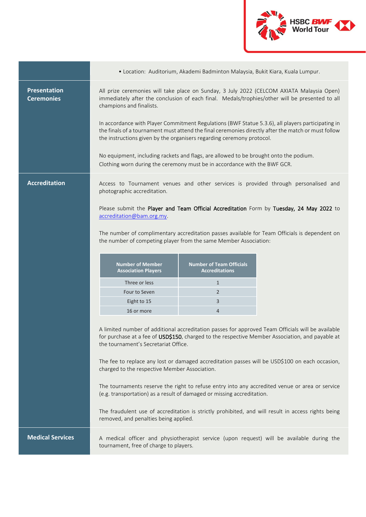

|                                          |                                                                                                                                                                                                                         | · Location: Auditorium, Akademi Badminton Malaysia, Bukit Kiara, Kuala Lumpur. |                                                                                                                                                                                                          |
|------------------------------------------|-------------------------------------------------------------------------------------------------------------------------------------------------------------------------------------------------------------------------|--------------------------------------------------------------------------------|----------------------------------------------------------------------------------------------------------------------------------------------------------------------------------------------------------|
| <b>Presentation</b><br><b>Ceremonies</b> | All prize ceremonies will take place on Sunday, 3 July 2022 (CELCOM AXIATA Malaysia Open)<br>immediately after the conclusion of each final. Medals/trophies/other will be presented to all<br>champions and finalists. |                                                                                |                                                                                                                                                                                                          |
|                                          | the instructions given by the organisers regarding ceremony protocol.                                                                                                                                                   |                                                                                | In accordance with Player Commitment Regulations (BWF Statue 5.3.6), all players participating in<br>the finals of a tournament must attend the final ceremonies directly after the match or must follow |
|                                          | No equipment, including rackets and flags, are allowed to be brought onto the podium.<br>Clothing worn during the ceremony must be in accordance with the BWF GCR.                                                      |                                                                                |                                                                                                                                                                                                          |
| <b>Accreditation</b>                     | photographic accreditation.                                                                                                                                                                                             |                                                                                | Access to Tournament venues and other services is provided through personalised and                                                                                                                      |
|                                          | accreditation@bam.org.my.                                                                                                                                                                                               |                                                                                | Please submit the Player and Team Official Accreditation Form by Tuesday, 24 May 2022 to                                                                                                                 |
|                                          | The number of complimentary accreditation passes available for Team Officials is dependent on<br>the number of competing player from the same Member Association:                                                       |                                                                                |                                                                                                                                                                                                          |
|                                          |                                                                                                                                                                                                                         |                                                                                |                                                                                                                                                                                                          |
|                                          | <b>Number of Member</b><br><b>Association Players</b>                                                                                                                                                                   | <b>Number of Team Officials</b><br><b>Accreditations</b>                       |                                                                                                                                                                                                          |
|                                          | Three or less                                                                                                                                                                                                           | $\mathbf{1}$                                                                   |                                                                                                                                                                                                          |
|                                          | Four to Seven                                                                                                                                                                                                           | $\overline{2}$                                                                 |                                                                                                                                                                                                          |
|                                          | Eight to 15                                                                                                                                                                                                             | 3                                                                              |                                                                                                                                                                                                          |
|                                          | 16 or more                                                                                                                                                                                                              | 4                                                                              |                                                                                                                                                                                                          |
|                                          | the tournament's Secretariat Office.                                                                                                                                                                                    |                                                                                | A limited number of additional accreditation passes for approved Team Officials will be available<br>for purchase at a fee of USD\$150, charged to the respective Member Association, and payable at     |
|                                          | charged to the respective Member Association.                                                                                                                                                                           |                                                                                | The fee to replace any lost or damaged accreditation passes will be USD\$100 on each occasion,                                                                                                           |
|                                          | (e.g. transportation) as a result of damaged or missing accreditation.                                                                                                                                                  |                                                                                | The tournaments reserve the right to refuse entry into any accredited venue or area or service                                                                                                           |
|                                          | removed, and penalties being applied.                                                                                                                                                                                   |                                                                                | The fraudulent use of accreditation is strictly prohibited, and will result in access rights being                                                                                                       |
| <b>Medical Services</b>                  | tournament, free of charge to players.                                                                                                                                                                                  |                                                                                | A medical officer and physiotherapist service (upon request) will be available during the                                                                                                                |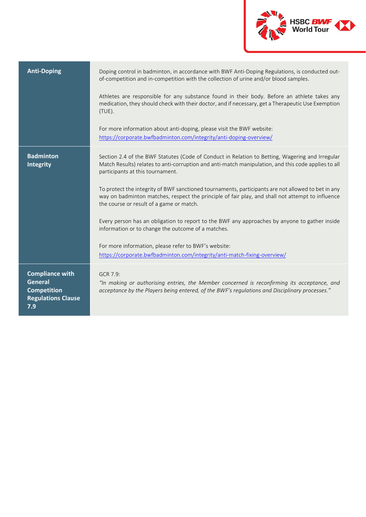

| <b>Anti-Doping</b>                                                                                 | Doping control in badminton, in accordance with BWF Anti-Doping Regulations, is conducted out-<br>of-competition and in-competition with the collection of urine and/or blood samples.                                                             |
|----------------------------------------------------------------------------------------------------|----------------------------------------------------------------------------------------------------------------------------------------------------------------------------------------------------------------------------------------------------|
|                                                                                                    | Athletes are responsible for any substance found in their body. Before an athlete takes any<br>medication, they should check with their doctor, and if necessary, get a Therapeutic Use Exemption<br>$(TUE)$ .                                     |
|                                                                                                    | For more information about anti-doping, please visit the BWF website:<br>https://corporate.bwfbadminton.com/integrity/anti-doping-overview/                                                                                                        |
| <b>Badminton</b><br><b>Integrity</b>                                                               | Section 2.4 of the BWF Statutes (Code of Conduct in Relation to Betting, Wagering and Irregular<br>Match Results) relates to anti-corruption and anti-match manipulation, and this code applies to all<br>participants at this tournament.         |
|                                                                                                    | To protect the integrity of BWF sanctioned tournaments, participants are not allowed to bet in any<br>way on badminton matches, respect the principle of fair play, and shall not attempt to influence<br>the course or result of a game or match. |
|                                                                                                    | Every person has an obligation to report to the BWF any approaches by anyone to gather inside<br>information or to change the outcome of a matches.                                                                                                |
|                                                                                                    | For more information, please refer to BWF's website:<br>https://corporate.bwfbadminton.com/integrity/anti-match-fixing-overview/                                                                                                                   |
| <b>Compliance with</b><br><b>General</b><br><b>Competition</b><br><b>Regulations Clause</b><br>7.9 | GCR 7.9:<br>"In making or authorising entries, the Member concerned is reconfirming its acceptance, and<br>acceptance by the Players being entered, of the BWF's regulations and Disciplinary processes."                                          |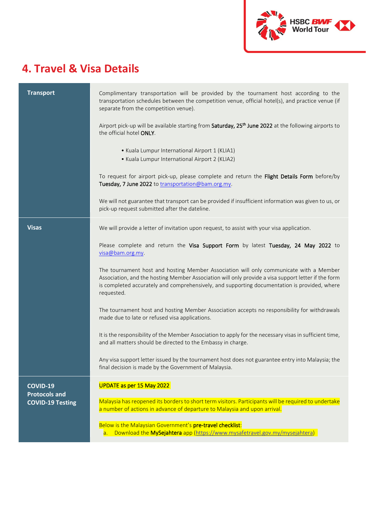

### **4. Travel & Visa Details**

|                                                                    | Below is the Malaysian Government's pre-travel checklist:<br>Download the MySejahtera app (https://www.mysafetravel.gov.my/mysejahtera)<br>a.                                                                                                                                                               |
|--------------------------------------------------------------------|-------------------------------------------------------------------------------------------------------------------------------------------------------------------------------------------------------------------------------------------------------------------------------------------------------------|
| <b>COVID-19</b><br><b>Protocols and</b><br><b>COVID-19 Testing</b> | UPDATE as per 15 May 2022<br>Malaysia has reopened its borders to short term visitors. Participants will be required to undertake<br>a number of actions in advance of departure to Malaysia and upon arrival.                                                                                              |
|                                                                    | Any visa support letter issued by the tournament host does not guarantee entry into Malaysia; the<br>final decision is made by the Government of Malaysia.                                                                                                                                                  |
|                                                                    | It is the responsibility of the Member Association to apply for the necessary visas in sufficient time,<br>and all matters should be directed to the Embassy in charge.                                                                                                                                     |
|                                                                    | The tournament host and hosting Member Association accepts no responsibility for withdrawals<br>made due to late or refused visa applications.                                                                                                                                                              |
|                                                                    | The tournament host and hosting Member Association will only communicate with a Member<br>Association, and the hosting Member Association will only provide a visa support letter if the form<br>is completed accurately and comprehensively, and supporting documentation is provided, where<br>requested. |
|                                                                    | Please complete and return the Visa Support Form by latest Tuesday, 24 May 2022 to<br>visa@bam.org.my.                                                                                                                                                                                                      |
| <b>Visas</b>                                                       | We will provide a letter of invitation upon request, to assist with your visa application.                                                                                                                                                                                                                  |
|                                                                    | We will not guarantee that transport can be provided if insufficient information was given to us, or<br>pick-up request submitted after the dateline.                                                                                                                                                       |
|                                                                    | To request for airport pick-up, please complete and return the Flight Details Form before/by<br>Tuesday, 7 June 2022 to transportation@bam.org.my.                                                                                                                                                          |
|                                                                    | • Kuala Lumpur International Airport 1 (KLIA1)<br>• Kuala Lumpur International Airport 2 (KLIA2)                                                                                                                                                                                                            |
|                                                                    | Airport pick-up will be available starting from Saturday, 25 <sup>th</sup> June 2022 at the following airports to<br>the official hotel ONLY.                                                                                                                                                               |
| <b>Transport</b>                                                   | Complimentary transportation will be provided by the tournament host according to the<br>transportation schedules between the competition venue, official hotel(s), and practice venue (if<br>separate from the competition venue).                                                                         |
|                                                                    |                                                                                                                                                                                                                                                                                                             |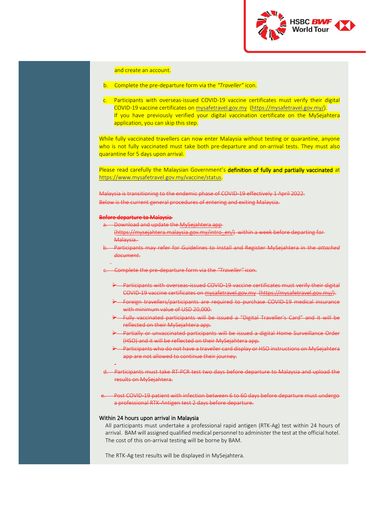#### and create an account.

- b. Complete the pre-departure form via the *"Traveller"* icon.
- c. Participants with overseas-issued COVID-19 vaccine certificates must verify their digital COVID-19 vaccine certificates o[n mysafetravel.gov.my](http://mysafetravel.gov.my/) [\(https://mysafetravel.gov.my/\)](https://mysafetravel.gov.my/). If you have previously verified your digital vaccination certificate on the MySejahtera application, you can skip this step.

HSBC BV **World Tour** 

While fully vaccinated travellers can now enter Malaysia without testing or quarantine, anyone who is not fully vaccinated must take both pre-departure and on-arrival tests. They must also quarantine for 5 days upon arrival.

Please read carefully the Malaysian Government's definition of fully and partially vaccinated at [https://www.mysafetravel.gov.my/vaccine/status.](https://www.mysafetravel.gov.my/vaccine/status)

Malaysia is transitioning to the endemic phase of COVID-19 effectively 1 April 2022. Below is the current general procedures of entering and exiting Malaysia.

#### Before departure to Malaysia

- a. Download and update the MySejahtera app
	- [\(https://mysejahtera.malaysia.gov.my/intro\\_en/\)](https://mysejahtera.malaysia.gov.my/intro_en/) within a week before departing for Malaysia.
- b. Participants may refer for Guidelines to Install and Register MySejahtera in the *attached document*.
- $\overline{\phantom{a}}$ c. Complete the pre-departure form via the *"Traveller"* icon.
	- Participants with overseas-issued COVID-19 vaccine certificates must verify their digital COVID-19 vaccine certificates on [mysafetravel.gov.my](http://mysafetravel.gov.my/) [\(https://mysafetravel.gov.my/\)](https://mysafetravel.gov.my/).
	- Foreign travellers/participants are required to purchase COVID-19 medical insurance with minimum value of USD 20,000.
	- Fully vaccinated participants will be issued a "Digital Traveller's Card" and it will be reflected on their MySejahtera app.
	- Partially or unvaccinated participants will be issued a digital Home Surveillance Order (HSO) and it will be reflected on their MySejahtera app.
	- Participants who do not have a traveller card display or HSO instructions on MySejahtera app are not allowed to continue their journey.
- Participants must take RT-PCR test two days before departure to Malaysia and upload the results on MySejahtera.
- e. Post COVID-19 patient with infection between 6 to 60 days before departure must undergo a professional RTK-Antigen test 2 days before departure.

#### Within 24 hours upon arrival in Malaysia

 $\overline{\phantom{a}}$ 

All participants must undertake a professional rapid antigen (RTK-Ag) test within 24 hours of arrival. BAM will assigned qualified medical personnel to administer the test at the official hotel. The cost of this on-arrival testing will be borne by BAM.

The RTK-Ag test results will be displayed in MySejahtera.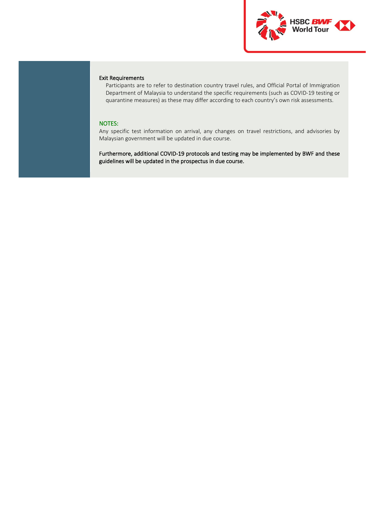

#### Exit Requirements

Participants are to refer to destination country travel rules, and Official Portal of Immigration Department of Malaysia to understand the specific requirements (such as COVID-19 testing or quarantine measures) as these may differ according to each country's own risk assessments.

#### NOTES:

Any specific test information on arrival, any changes on travel restrictions, and advisories by Malaysian government will be updated in due course.

Furthermore, additional COVID-19 protocols and testing may be implemented by BWF and these guidelines will be updated in the prospectus in due course.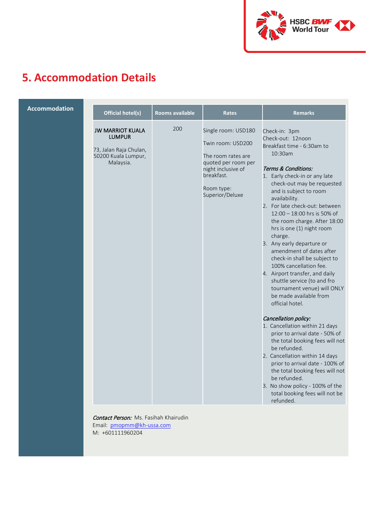

### **5. Accommodation Details**

| <b>Accommodation</b> | <b>Official hotel(s)</b>                                                                               | Rooms available | <b>Rates</b>                                                                                                                                               | <b>Remarks</b>                                                                                                                                                                                                                                                                                                                                                                                                                                                                                                                                                                                                                                                                                                    |
|----------------------|--------------------------------------------------------------------------------------------------------|-----------------|------------------------------------------------------------------------------------------------------------------------------------------------------------|-------------------------------------------------------------------------------------------------------------------------------------------------------------------------------------------------------------------------------------------------------------------------------------------------------------------------------------------------------------------------------------------------------------------------------------------------------------------------------------------------------------------------------------------------------------------------------------------------------------------------------------------------------------------------------------------------------------------|
|                      | <b>JW MARRIOT KUALA</b><br><b>LUMPUR</b><br>73, Jalan Raja Chulan,<br>50200 Kuala Lumpur,<br>Malaysia. | 200             | Single room: USD180<br>Twin room: USD200<br>The room rates are<br>quoted per room per<br>night inclusive of<br>breakfast.<br>Room type:<br>Superior/Deluxe | Check-in: 3pm<br>Check-out: 12noon<br>Breakfast time - 6:30am to<br>10:30am<br>Terms & Conditions:<br>1. Early check-in or any late<br>check-out may be requested<br>and is subject to room<br>availability.<br>2. For late check-out: between<br>12:00 - 18:00 hrs is 50% of<br>the room charge. After 18:00<br>hrs is one (1) night room<br>charge.<br>3. Any early departure or<br>amendment of dates after<br>check-in shall be subject to<br>100% cancellation fee.<br>4. Airport transfer, and daily<br>shuttle service (to and fro<br>tournament venue) will ONLY<br>be made available from<br>official hotel.<br>Cancellation policy:<br>1. Cancellation within 21 days<br>prior to arrival date - 50% of |
|                      |                                                                                                        |                 |                                                                                                                                                            | the total booking fees will not<br>be refunded.<br>2. Cancellation within 14 days<br>prior to arrival date - 100% of<br>the total booking fees will not<br>be refunded.<br>3. No show policy - 100% of the                                                                                                                                                                                                                                                                                                                                                                                                                                                                                                        |
|                      |                                                                                                        |                 |                                                                                                                                                            | total booking fees will not be<br>refunded.                                                                                                                                                                                                                                                                                                                                                                                                                                                                                                                                                                                                                                                                       |

*Ct Person: W*is. Fasihah Kh Email: [pmopmm@kh-ussa.com](mailto:pmopmm@kh-ussa.com) M: +601111960204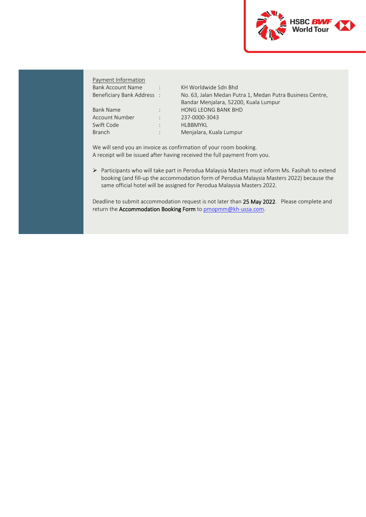

| Payment Information       |                      |                                                           |
|---------------------------|----------------------|-----------------------------------------------------------|
| <b>Bank Account Name</b>  | ÷                    | KH Worldwide Sdn Bhd                                      |
| Beneficiary Bank Address: |                      | No. 63, Jalan Medan Putra 1, Medan Putra Business Centre, |
|                           |                      | Bandar Menjalara, 52200, Kuala Lumpur                     |
| <b>Bank Name</b>          | ÷                    | <b>HONG LEONG BANK BHD</b>                                |
| <b>Account Number</b>     | $\ddot{\cdot}$       | 237-0000-3043                                             |
| Swift Code                | ÷                    | <b>HLBBMYKL</b>                                           |
| <b>Branch</b>             | $\ddot{\phantom{a}}$ | Menjalara, Kuala Lumpur                                   |
|                           |                      |                                                           |

We will send you an invoice as confirmation of your room booking. A receipt will be issued after having received the full payment from you.

 Participants who will take part in Perodua Malaysia Masters must inform Ms. Fasihah to extend booking (and fill-up the accommodation form of Perodua Malaysia Masters 2022) because the same official hotel will be assigned for Perodua Malaysia Masters 2022.

Deadline to submit accommodation request is not later than 25 May 2022. Please complete and return the Accommodation Booking Form t[o pmopmm@kh-ussa.com.](mailto:pmopmm@kh-ussa.com)